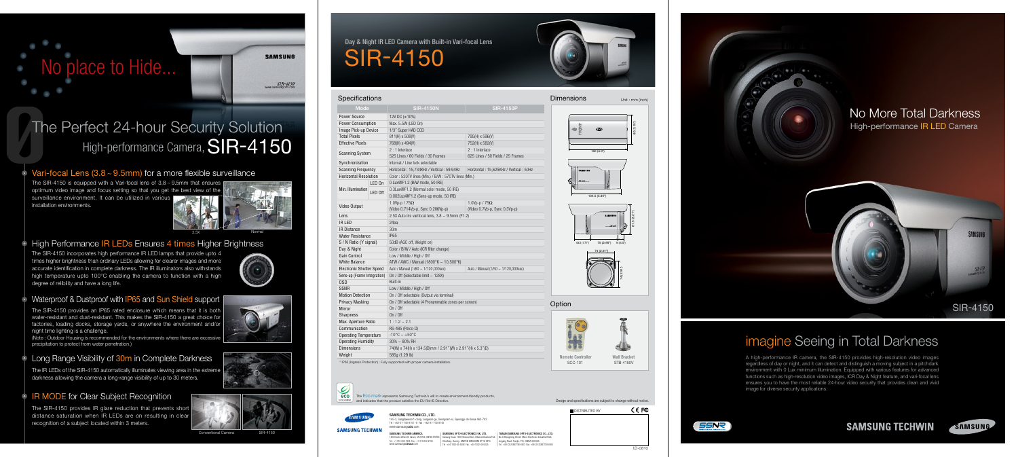The Eco mark represents Samsung Techwin's will to create environment-friendly products, and indicates that the product satisfies the EU RoHS Directive.



#### SAMSUNG TECHWIN CO., LTD.

Day & Night IR LED Camera with Built-in Vari-focal Lens SIR-4150

### **Specifications**

| <b>Dimensions</b>                                        | Unit : mm (inch)         |
|----------------------------------------------------------|--------------------------|
| $\boldsymbol{\omega}$<br>160 (6.3")                      | 80 (3.15")               |
| SAMSUNG<br>SIR-4150<br>134.5 (5.30")                     |                          |
| <b>SAMSUNG</b><br>SIR-4150<br>43.5 (1.71")<br>75 (2.95") | 81.5(3.21")<br>16(0.63") |
| 74 (2.91")                                               | 74 (2.91")               |
| Option                                                   |                          |



145-3, Sangdaewon 1-dong, Jungwon-gu, Seongnam-si, Gyeonggi-do Korea 462-703 Tel : +82-31-740-8151~8 Fax : +82-31-740-8145 www.samsung**cctv**.com

**SAMSUNG TECHWIN** SAMSUNG TECHWIN AMERICA 1480 Charles Willard St. Carson, CA 90746, UNITED STATES<br>Tel : +1-310-632-1234 Fax : +1-310-632-2195<br>www.samsung**cctvusa**.com

| <b>Mode</b>                     |                                           | <b>SIR-4150N</b>                                           | <b>SIR-4150P</b>                       |  |
|---------------------------------|-------------------------------------------|------------------------------------------------------------|----------------------------------------|--|
| <b>Power Source</b>             |                                           | 12V DC $(\pm 10\%)$                                        |                                        |  |
| Power Consumption               |                                           | Max. 5.5W (LED On)                                         |                                        |  |
| Image Pick-up Device            |                                           | 1/3" Super HAD CCD                                         |                                        |  |
| <b>Total Pixels</b>             |                                           | 811(H) x 508(V)<br>795(H) x 596(V)                         |                                        |  |
| <b>Effective Pixels</b>         |                                           | 768(H) x 494(V)                                            | 752(H) x 582(V)                        |  |
| <b>Scanning System</b>          |                                           | $2:1$ Interlace                                            | $2:1$ Interlace                        |  |
|                                 |                                           | 525 Lines / 60 Fields / 30 Frames                          | 625 Lines / 50 Fields / 25 Frames      |  |
| Synchronization                 |                                           | Internal / Line lock selectable                            |                                        |  |
| <b>Scanning Frequency</b>       |                                           | Horizontal: 15,734KHz / Vertical: 59.94Hz                  | Horizontal: 15,625KHz / Vertical: 50Hz |  |
| <b>Horizontal Resolution</b>    |                                           | Color: 520TV lines (Min.) / B/W: 570TV lines (Min.)        |                                        |  |
| LED On                          |                                           | 0 Lux@F1.2 (B/W mode, 50 IRE)                              |                                        |  |
| Min. Illumination               | LED Off                                   | 0.3Lux@F1.2 (Normal color mode, 50 IRE)                    |                                        |  |
|                                 |                                           | 0.002Lux@F1.2 (Sens-up mode, 50 IRE)                       |                                        |  |
|                                 |                                           | 1.0Vp-p / $75\Omega$                                       | 1.0Vp-p / $75\Omega$                   |  |
| Video Output                    |                                           | (Video 0.714Vp-p, Sync 0.286Vp-p)                          | (Video 0.7Vp-p, Sync 0.3Vp-p)          |  |
| Lens                            |                                           | 2.5X Auto iris varifocal lens, $3.8 \sim 9.5$ mm (F1.2)    |                                        |  |
| IR LED                          |                                           | 24ea                                                       |                                        |  |
| <b>IR Distance</b>              |                                           | 30m                                                        |                                        |  |
| <b>Water Resistance</b>         |                                           | <b>IP65</b>                                                |                                        |  |
| S / N Ratio (Y signal)          |                                           | 50dB (AGC off, Weight on)                                  |                                        |  |
| Day & Night                     |                                           | Color / B/W / Auto (ICR filter change)                     |                                        |  |
| Gain Control                    |                                           | Low / Middle / High / Off                                  |                                        |  |
| <b>White Balance</b>            |                                           | ATW / AWC / Manual (1800°K ~ 10,500°K)                     |                                        |  |
| <b>Electronic Shutter Speed</b> |                                           | Auto / Manual $(1/60 \sim 1/120,000$ sec)                  | Auto / Manual (1/50 ~ 1/120,000sec)    |  |
| Sens-up (Frame Integration)     |                                           | On / Off (Selectable limit ~ 128X)                         |                                        |  |
| 0SD                             |                                           | Built-in                                                   |                                        |  |
| <b>SSNR</b>                     |                                           | Low / Middle / High / Off                                  |                                        |  |
| <b>Motion Detection</b>         | On / Off selectable (Output via terminal) |                                                            |                                        |  |
| <b>Privacy Masking</b>          |                                           | On / Off selectable (4 Prorammable zones per screen)       |                                        |  |
| Mirror                          |                                           | On / Off                                                   |                                        |  |
| <b>Sharpness</b>                |                                           | On / Off                                                   |                                        |  |
| Max. Aperture Ratio             |                                           | $1:1.2 \sim 2.1$                                           |                                        |  |
| Communication                   |                                           | RS-485 (Pelco-D)                                           |                                        |  |
| <b>Operating Temperature</b>    |                                           | $-10^{\circ}$ C ~ $+50^{\circ}$ C                          |                                        |  |
| <b>Operating Humidity</b>       |                                           | $30\% \sim 80\%$ RH                                        |                                        |  |
| <b>Dimensions</b>               |                                           | 74(W) x 74(H) x 134.5(D)mm / 2.91"(W) x 2.91"(H) x 5.3"(D) |                                        |  |
| Weight                          | 585g (1.29 lb)                            |                                                            |                                        |  |

\* IP65 (Ingress Protection) : Fully supported with proper camera installat



# The Perfect 24-hour Security Solution High-performance Camera, SIR-4150

## $\circ$  Vari-focal Lens (3.8 ~ 9.5mm) for a more flexible surveillance

SCC-101 Remote Controller

STB-4150V Wall Bracket

(Note : Outdoor Housing is recommended for the environments where there are excessive precipitation to protect from water penetration.)

## **Long Range Visibility of 30m in Complete Darkness**

SAMSUNG OPTO-ELECTRONICS UK, LTD. Samsung House, 1000 Hillswood Drive, Hillswood Business Park Chertsey, Surrey, UNITED KINGDOM KT16 OPS Tel : +44-1932-45-5308 Fax : +44-1932-45-5325

TIANJIN SAMSUNG OPTO-E



|                                                                                                                                                 | <b>DISTRIBUTED BY</b> |
|-------------------------------------------------------------------------------------------------------------------------------------------------|-----------------------|
|                                                                                                                                                 |                       |
| TIANJIN SAMSUNG OPTO-ELECTRONICS CO LTD.<br>No.9 Zhangheng Street, Micro-Electronic Industrial Park<br>Jingang Road, Tianiin, P.R. CHINA 300385 |                       |

Design and specifications are subject to change without notice.

CE FC

## imagine Seeing in Total Darkness



A high-performance IR camera, the SIR-4150 provides high-resolution video images regardless of day or night, and it can detect and distinguish a moving subject in a pitchdark environment with 0 Lux minimum illumination. Equipped with various features for advanced functions such as high-resolution video images, ICR Day & Night feature, and vari-focal lens ensures you to have the most reliable 24-hour video security that provides clean and vivid image for diverse security applications.







# No place to Hide...

**SAMSUNG** 

### **SIR-4150**

The SIR-4150 is equipped with a Vari-focal lens of 3.8 ~ 9.5mm that ensures optimum video image and focus setting so that you get the best view of the surveillance environment. It can be utilized in various installation environments.





## **High Performance IR LEDs Ensures 4 times Higher Brightness**

The SIR-4150 incorporates high performance IR LED lamps that provide upto 4 times higher brightness than ordinary LEDs allowing for clearer images and more accurate identification in complete darkness. The IR illuminators also withstands high temperature upto 100°C enabling the camera to function with a high degree of relibility and have a long life.



## • Waterproof & Dustproof with IP65 and Sun Shield support

The SIR-4150 provides an IP65 rated enclosure which means that it is both water-resistant and dust-resistant. This makes the SIR-4150 a great choice for factories, loading docks, storage yards, or anywhere the environment and/or night time lighting is a challenge.

The IR LEDs of the SIR-4150 automatically illuminates viewing area in the extreme darkness allowing the camera a long-range visibility of up to 30 meters.

### **IR MODE for Clear Subject Recognition**

The SIR-4150 provides IR glare reduction that prevents short distance saturation when IR LEDs are on resulting in clear recognition of a subject located within 3 meters.





Conventional Camera SIR-4150